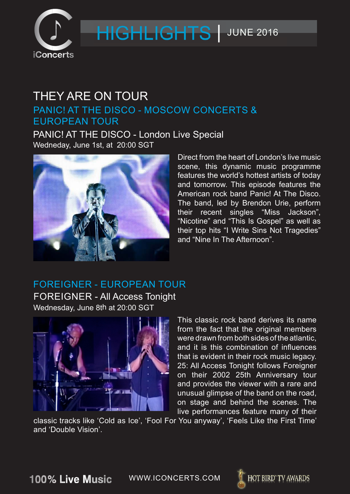

#### THEY ARE ON TOUR PANIC! AT THE DISCO - MOSCOW CONCERTS & EUROPEAN TOUR

Wedneday, June 1st, at 20:00 SGT PANIC! AT THE DISCO - London Live Special



Direct from the heart of London's live music scene, this dynamic music programme features the world's hottest artists of today and tomorrow. This episode features the American rock band Panic! At The Disco. The band, led by Brendon Urie, perform their recent singles "Miss Jackson", "Nicotine" and "This Is Gospel" as well as their top hits "I Write Sins Not Tragedies" and "Nine In The Afternoon".

#### Wednesday, June 8th at 20:00 SGT FOREIGNER - EUROPEAN TOUR FOREIGNER - All Access Tonight



This classic rock band derives its name from the fact that the original members were drawn from both sides of the atlantic, and it is this combination of influences that is evident in their rock music legacy. 25: All Access Tonight follows Foreigner on their 2002 25th Anniversary tour and provides the viewer with a rare and unusual glimpse of the band on the road, on stage and behind the scenes. The live performances feature many of their

classic tracks like 'Cold as Ice', 'Fool For You anyway', 'Feels Like the First Time' and 'Double Vision'.

100% Live Music

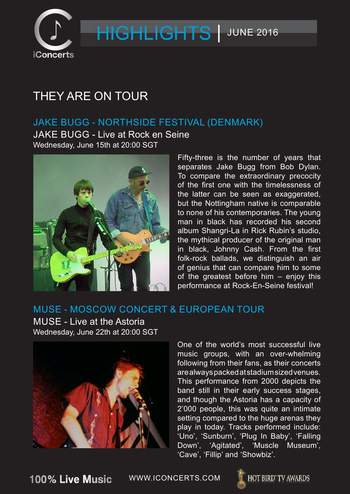

### THEY ARE ON TOUR

#### JAKE BUGG - NORTHSIDE FESTIVAL (DENMARK)

Wednesday, June 15th at 20:00 SGT JAKE BUGG - Live at Rock en Seine



Fifty-three is the number of years that separates Jake Bugg from Bob Dylan. To compare the extraordinary precocity of the first one with the timelessness of the latter can be seen as exaggerated, but the Nottingham native is comparable to none of his contemporaries. The young man in black has recorded his second album Shangri-La in Rick Rubin's studio, the mythical producer of the original man in black, Johnny Cash. From the first folk-rock ballads, we distinguish an air of genius that can compare him to some of the greatest before him – enjoy this performance at Rock-En-Seine festival!

#### MUSE - MOSCOW CONCERT & EUROPEAN TOUR

Wednesday, June 22th at 20:00 SGT MUSE - Live at the Astoria



One of the world's most successful live music groups, with an over-whelming following from their fans, as their concerts are always packed at stadium sized venues. This performance from 2000 depicts the band still in their early success stages, and though the Astoria has a capacity of 2'000 people, this was quite an intimate setting compared to the huge arenas they play in today. Tracks performed include: 'Uno', 'Sunburn', 'Plug In Baby', 'Falling Down', 'Agitated', 'Muscle Museum', 'Cave', 'Fillip' and 'Showbiz'.

100% Live Music

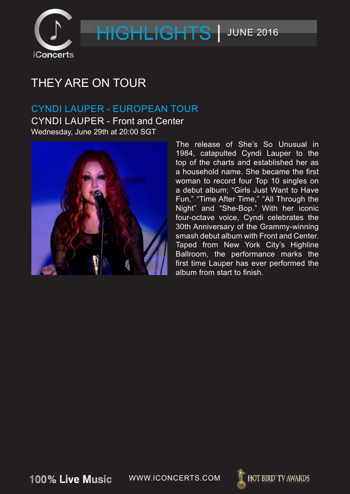

### THEY ARE ON TOUR

#### Wednesday, June 29th at 20:00 SGT CYNDI LAUPER - EUROPEAN TOUR CYNDI LAUPER - Front and Center



The release of She's So Unusual in 1984, catapulted Cyndi Lauper to the top of the charts and established her as a household name. She became the first woman to record four Top 10 singles on a debut album; "Girls Just Want to Have Fun," "Time After Time," "All Through the Night" and "She-Bop." With her iconic four-octave voice, Cyndi celebrates the 30th Anniversary of the Grammy-winning smash debut album with Front and Center. Taped from New York City's Highline Ballroom, the performance marks the first time Lauper has ever performed the album from start to finish.

100% Live Music

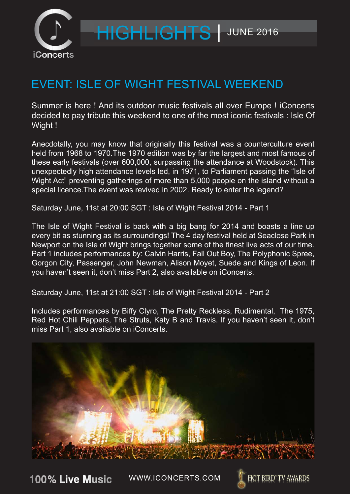

### EVENT: ISLE OF WIGHT FESTIVAL WEEKEND

Summer is here ! And its outdoor music festivals all over Europe ! iConcerts decided to pay tribute this weekend to one of the most iconic festivals : Isle Of Wight!

Anecdotally, you may know that originally this festival was a counterculture event held from 1968 to 1970.The 1970 edition was by far the largest and most famous of these early festivals (over 600,000, surpassing the attendance at Woodstock). This unexpectedly high attendance levels led, in 1971, to Parliament passing the "Isle of Wight Act" preventing gatherings of more than 5,000 people on the island without a special licence.The event was revived in 2002. Ready to enter the legend?

Saturday June, 11st at 20:00 SGT : Isle of Wight Festival 2014 - Part 1

The Isle of Wight Festival is back with a big bang for 2014 and boasts a line up every bit as stunning as its surroundings! The 4 day festival held at Seaclose Park in Newport on the Isle of Wight brings together some of the finest live acts of our time. Part 1 includes performances by: Calvin Harris, Fall Out Boy, The Polyphonic Spree, Gorgon City, Passenger, John Newman, Alison Moyet, Suede and Kings of Leon. If you haven't seen it, don't miss Part 2, also available on iConcerts.

Saturday June, 11st at 21:00 SGT : Isle of Wight Festival 2014 - Part 2

Includes performances by Biffy Clyro, The Pretty Reckless, Rudimental, The 1975, Red Hot Chili Peppers, The Struts, Katy B and Travis. If you haven't seen it, don't miss Part 1, also available on iConcerts.



100% Live Music WWW.ICONCERTS.COM

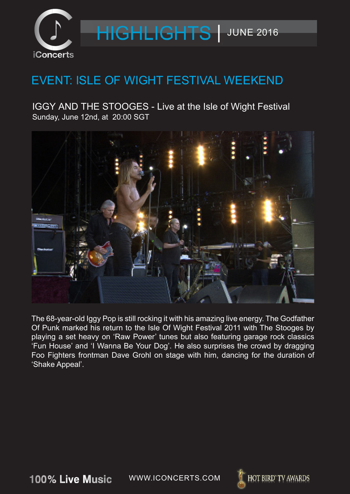

### EVENT: ISLE OF WIGHT FESTIVAL WEEKEND

Sunday, June 12nd, at 20:00 SGT IGGY AND THE STOOGES - Live at the Isle of Wight Festival



The 68-year-old Iggy Pop is still rocking it with his amazing live energy. The Godfather Of Punk marked his return to the Isle Of Wight Festival 2011 with The Stooges by playing a set heavy on 'Raw Power' tunes but also featuring garage rock classics 'Fun House' and 'I Wanna Be Your Dog'. He also surprises the crowd by dragging Foo Fighters frontman Dave Grohl on stage with him, dancing for the duration of 'Shake Appeal'.

100% Live Music